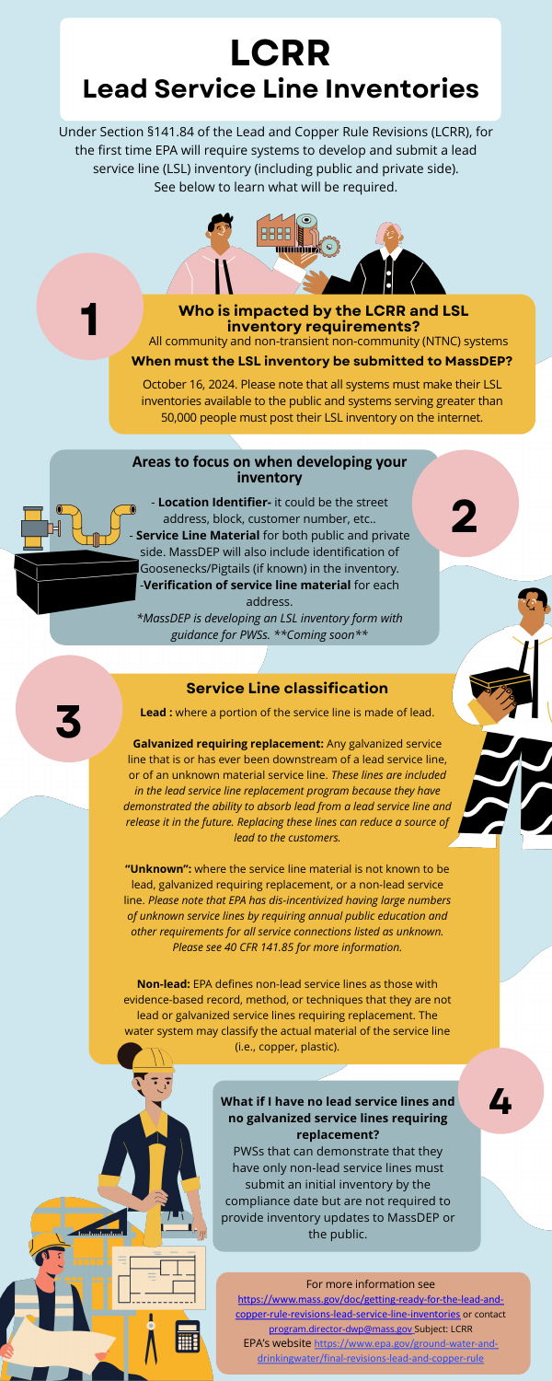#### Service Line classification

**Lead**: where a portion of the service line is made of lead.

Galvanized requiring replacement: Any galvanized service line that is or has ever been downstream of a lead service line, or of an unknown material service line. *These lines are included in the lead service line replacement program because they have demonstrated the ability to absorb lead from a lead service line and release it in the future. Replacing these lines can reduce a source of lead to the customers.* 

"Unknown": where the service line material is not known to be lead, galvanized requiring replacement, or a non-lead service line. *Please note that EPA has dis-incentivized having large numbers of unknown service lines by requiring annual public education and other requirements for all service connections listed as unknown. Please see 40 CFR 141.85 for more information.* 

Non-lead: EPA defines non-lead service lines as those with evidence-based record, method, or techniques that they are not lead or galvanized service lines requiring replacement. The water system may classify the actual material of the service line (i.e., copper, plastic).

#### What if I have no lead service lines and no galvanized service lines requiring replacement?

PWSs that can demonstrate that they have only non-lead service lines must submit an initial inventory by the compliance date but are not required to provide inventory updates to MassDEP or the public.

#### For more information see

4

https://www.mass.gov/doc/getting-ready-for-the-lead-andcopper-rule-revisions-lead-service-line-inventories or contact program.director-dwp@mass.gov Subject: LCRR EPA's website https://www.epa.gov/ground-water-anddrinkingwater/final-revisions-lead-and-copper-rule